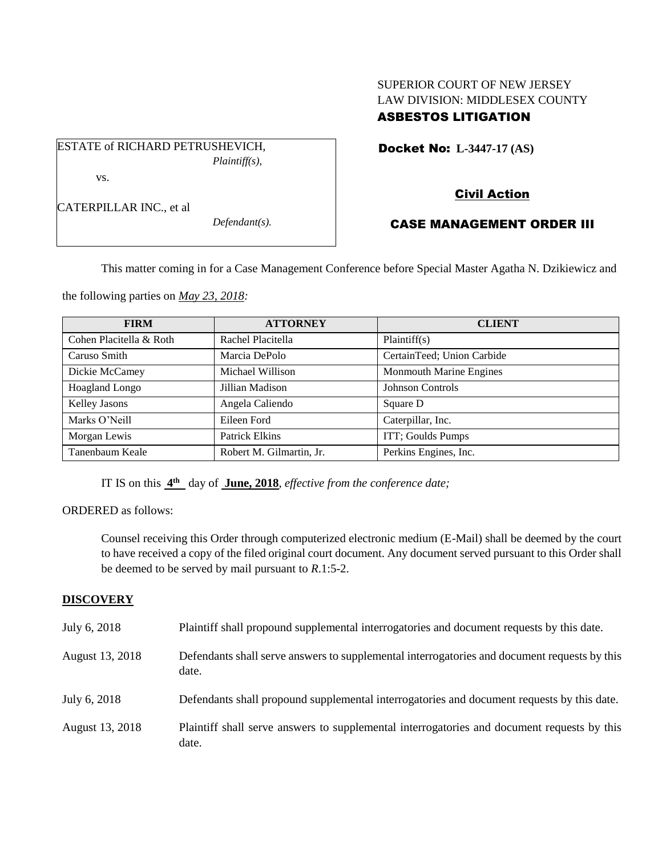# SUPERIOR COURT OF NEW JERSEY LAW DIVISION: MIDDLESEX COUNTY ASBESTOS LITIGATION

Docket No: **L-3447-17 (AS)** 

ESTATE of RICHARD PETRUSHEVICH, *Plaintiff(s),* vs.

CATERPILLAR INC., et al

*Defendant(s).*

# Civil Action

# CASE MANAGEMENT ORDER III

This matter coming in for a Case Management Conference before Special Master Agatha N. Dzikiewicz and

the following parties on *May 23, 2018:*

| <b>FIRM</b>             | <b>ATTORNEY</b>          | <b>CLIENT</b>                  |
|-------------------------|--------------------------|--------------------------------|
| Cohen Placitella & Roth | Rachel Placitella        | Plaintiff(s)                   |
| Caruso Smith            | Marcia DePolo            | CertainTeed; Union Carbide     |
| Dickie McCamey          | Michael Willison         | <b>Monmouth Marine Engines</b> |
| Hoagland Longo          | Jillian Madison          | <b>Johnson Controls</b>        |
| Kelley Jasons           | Angela Caliendo          | Square D                       |
| Marks O'Neill           | Eileen Ford              | Caterpillar, Inc.              |
| Morgan Lewis            | <b>Patrick Elkins</b>    | ITT; Goulds Pumps              |
| Tanenbaum Keale         | Robert M. Gilmartin, Jr. | Perkins Engines, Inc.          |

IT IS on this  $4^{\text{th}}$  day of June, 2018, *effective from the conference date*;

ORDERED as follows:

Counsel receiving this Order through computerized electronic medium (E-Mail) shall be deemed by the court to have received a copy of the filed original court document. Any document served pursuant to this Order shall be deemed to be served by mail pursuant to *R*.1:5-2.

## **DISCOVERY**

| July 6, 2018    | Plaintiff shall propound supplemental interrogatories and document requests by this date.             |
|-----------------|-------------------------------------------------------------------------------------------------------|
| August 13, 2018 | Defendants shall serve answers to supplemental interrogatories and document requests by this<br>date. |
| July 6, 2018    | Defendants shall propound supplemental interrogatories and document requests by this date.            |
| August 13, 2018 | Plaintiff shall serve answers to supplemental interrogatories and document requests by this<br>date.  |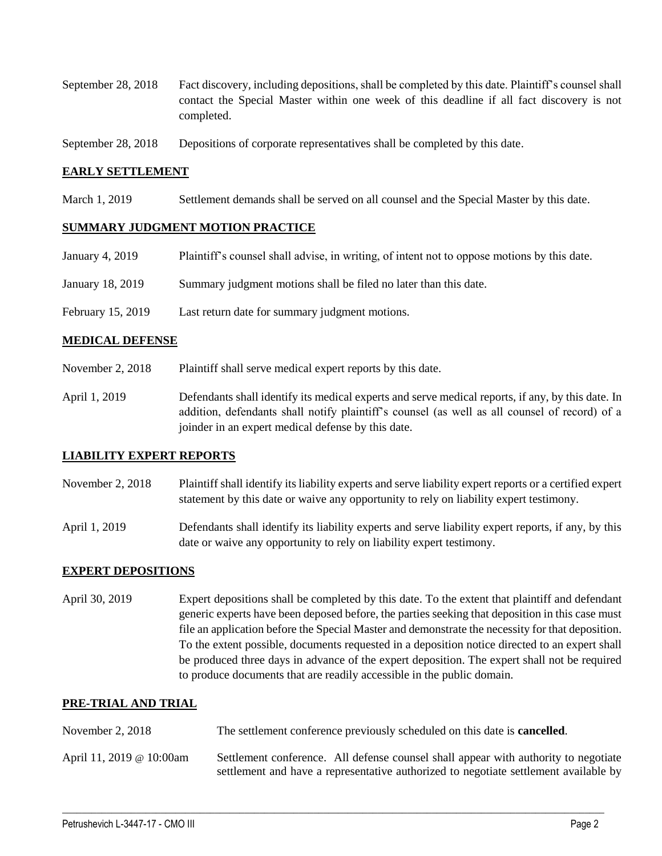- September 28, 2018 Fact discovery, including depositions, shall be completed by this date. Plaintiff's counsel shall contact the Special Master within one week of this deadline if all fact discovery is not completed.
- September 28, 2018 Depositions of corporate representatives shall be completed by this date.

## **EARLY SETTLEMENT**

March 1, 2019 Settlement demands shall be served on all counsel and the Special Master by this date.

#### **SUMMARY JUDGMENT MOTION PRACTICE**

| January 4, 2019   | Plaintiff's counsel shall advise, in writing, of intent not to oppose motions by this date. |
|-------------------|---------------------------------------------------------------------------------------------|
| January 18, 2019  | Summary judgment motions shall be filed no later than this date.                            |
| February 15, 2019 | Last return date for summary judgment motions.                                              |

### **MEDICAL DEFENSE**

- November 2, 2018 Plaintiff shall serve medical expert reports by this date.
- April 1, 2019 Defendants shall identify its medical experts and serve medical reports, if any, by this date. In addition, defendants shall notify plaintiff's counsel (as well as all counsel of record) of a joinder in an expert medical defense by this date.

#### **LIABILITY EXPERT REPORTS**

- November 2, 2018 Plaintiff shall identify its liability experts and serve liability expert reports or a certified expert statement by this date or waive any opportunity to rely on liability expert testimony.
- April 1, 2019 Defendants shall identify its liability experts and serve liability expert reports, if any, by this date or waive any opportunity to rely on liability expert testimony.

## **EXPERT DEPOSITIONS**

April 30, 2019 Expert depositions shall be completed by this date. To the extent that plaintiff and defendant generic experts have been deposed before, the parties seeking that deposition in this case must file an application before the Special Master and demonstrate the necessity for that deposition. To the extent possible, documents requested in a deposition notice directed to an expert shall be produced three days in advance of the expert deposition. The expert shall not be required to produce documents that are readily accessible in the public domain.

#### **PRE-TRIAL AND TRIAL**

- November 2, 2018 The settlement conference previously scheduled on this date is **cancelled**.
- April 11, 2019 @ 10:00am Settlement conference. All defense counsel shall appear with authority to negotiate settlement and have a representative authorized to negotiate settlement available by

 $\_$  ,  $\_$  ,  $\_$  ,  $\_$  ,  $\_$  ,  $\_$  ,  $\_$  ,  $\_$  ,  $\_$  ,  $\_$  ,  $\_$  ,  $\_$  ,  $\_$  ,  $\_$  ,  $\_$  ,  $\_$  ,  $\_$  ,  $\_$  ,  $\_$  ,  $\_$  ,  $\_$  ,  $\_$  ,  $\_$  ,  $\_$  ,  $\_$  ,  $\_$  ,  $\_$  ,  $\_$  ,  $\_$  ,  $\_$  ,  $\_$  ,  $\_$  ,  $\_$  ,  $\_$  ,  $\_$  ,  $\_$  ,  $\_$  ,